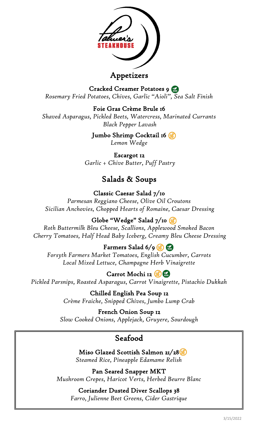

### Appetizers

Cracked Creamer Potatoes 9 *Rosemary Fried Potatoes, Chives, Garlic "Aioli", Sea Salt Finish* 

Foie Gras Crème Brule 16

*Shaved Asparagus, Pickled Beets, Watercress, Marinated Currants Black Pepper Lavash*

> Jumbo Shrimp Cocktail 16 *Lemon Wedge*

Escargot 12 *Garlic + Chive Butter, Puff Pastry* 

# Salads & Soups

Classic Caesar Salad 7/10 *Parmesan Reggiano Cheese, Olive Oil Croutons Sicilian Anchovies, Chopped Hearts of Romaine, Caesar Dressing* 

Globe "Wedge" Salad 7/10

*Roth Buttermilk Bleu Cheese, Scallions, Applewood Smoked Bacon Cherry Tomatoes, Half Head Baby Iceberg, Creamy Bleu Cheese Dressing*

Farmers Salad  $6/9$ 

*Forsyth Farmers Market Tomatoes, English Cucumber, Carrots Local Mixed Lettuce, Champagne Herb Vinaigrette*

Carrot Mochi 12 *Pickled Parsnips, Roasted Asparagus, Carrot Vinaigrette, Pistachio Dukkah*

> Chilled English Pea Soup 12 *Crème Fraiche, Snipped Chives, Jumbo Lump Crab*

French Onion Soup 12 *Slow Cooked Onions, Applejack, Gruyere, Sourdough*

# Seafood

Miso Glazed Scottish Salmon 21/28 *Steamed Rice, Pineapple Edamame Relish*

Pan Seared Snapper MKT *Mushroom Crepes, Haricot Verts, Herbed Beurre Blanc*

Coriander Dusted Diver Scallops 38 *Farro, Julienne Beet Greens, Cider Gastrique*